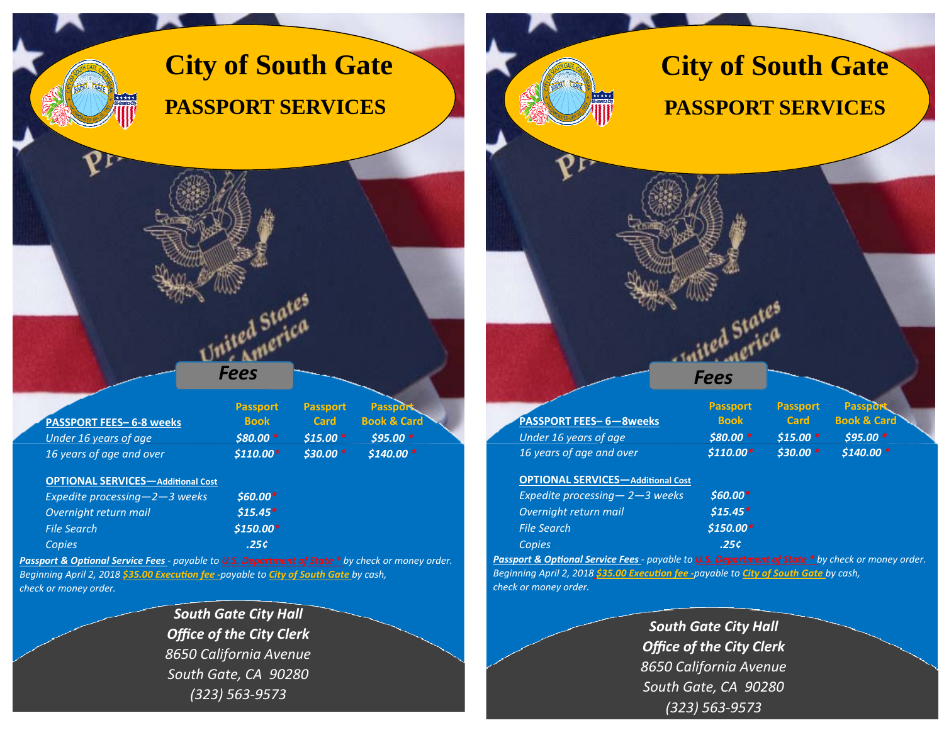## **City of South Gate PASSPORT SERVICES**

| <b>PASSPORT FEES-6-8 weeks</b>                            | <b>Passport</b> | <b>Passport</b> | <b>Passport</b>        |
|-----------------------------------------------------------|-----------------|-----------------|------------------------|
|                                                           | <b>Book</b>     | <b>Card</b>     | <b>Book &amp; Card</b> |
| Under 16 years of age                                     | $$80.00*$       | $$15.00*$       | $$95.00*$              |
| 16 years of age and over                                  | $$110.00*$      | $$30.00*$       | $$140.00*$             |
| <b>OPTIONAL SERVICES-Additional Cost</b>                  | $$60.00*$       |                 |                        |
| Expedite processing $-2-3$ weeks<br>Overnight return mail | $$15.45*$       |                 |                        |

*Fees*

ted States<br>ted States l Statca<br>merica

Passport & Optional Service Fees - payable to **U.S. Department of State \*** by check or money order. *Beginning April 2, 2018 \$35.00 ExecuƟon fee ‐payable to City of South Gate by cash, check or money order.*

*Copies .25¢*

*\$150.00\**

*File Search*

*South Gate City Hall Office of the City Clerk 8650 California Avenue South Gate, CA 90280 (323) 563‐9573*